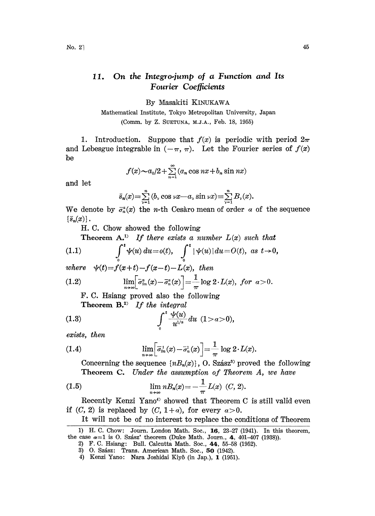## On the Integro-jump of a Function and Its 11. Fourier Coefficients

By Masakiti KINUKAWA

Mathematical Institute, Tokyo Metropolitan University, Japan (Comm. by Z. SUETUNA, M.J.A., Feb. 18, 1955)

1. Introduction. Suppose that  $f(x)$  is periodic with period  $2\pi$ and Lebesgue integrable in  $(-\pi, \pi)$ . Let the Fourier series of  $f(x)$ be

$$
f(x) \sim a_0/2 + \sum_{n=1}^{\infty} (a_n \cos nx + b_n \sin nx)
$$

and let

$$
\bar{s}_n(x) = \sum_{\nu=1}^n (b_\nu \cos \nu x - a_\nu \sin \nu x) \equiv \sum_{\nu=1}^n B_\nu(x).
$$

We denote by  $\bar{\sigma}_n^{\alpha}(x)$  the n-th Cesaro mean of order  $\alpha$  of the sequence  $\{\bar{s}_n(x)\}\,$ .

H. C. Chow showed the following

Theorem  $A^{(1)}$  If there exists a number  $L(x)$  such that

(1.1) 
$$
\int_{0}^{t} \psi(u) du = o(t), \quad \int_{0}^{t} |\psi(u)| du = O(t), \text{ as } t \to 0,
$$
  
where  $\psi(t)=f(x+t)-f(x-t)-L(x)$ , then  
(1.2) 
$$
\lim_{n \to \infty} \left[\overline{\sigma}_{2n}^{a}(x)-\overline{\sigma}_{n}^{a}(x)\right] = \frac{1}{\pi} \log 2 \cdot L(x), \text{ for } a > 0.
$$

F. C. Hsiang proved also the following

Theorem  $B^{2}$  If the integral

(1.3) 
$$
\int_{0}^{t} \frac{\psi(u)}{u^{1/a}} du \ (1 > a > 0),
$$

exists, then

(1.4) 
$$
\lim_{n\to\infty}\Bigl[\overline{\sigma}_{2n}^1(x)-\overline{\sigma}_n^1(x)\Bigr]=\frac{1}{\pi}\log 2\cdot L(x).
$$

Concerning the sequence  $\{nB_n(x)\}\$ , O. Szász<sup>3</sup> proved the following Theorem C. Under the assumption of Theorem A, we have

(1.5) 
$$
\lim_{n \to \infty} n B_n(x) = -\frac{1}{\pi} L(x) \ (C, 2).
$$

 $-\frac{L(x)}{\pi}$   $L(x)$  (C, 2).<br>that Theorem C<br>or every  $a > 0$ .<br>replace the cond Recently Kenzi Yano<sup>4</sup> showed that Theorem C is still valid even if  $(C, 2)$  is replaced by  $(C, 1+a)$ , for every  $a>0$ .

It will not be of no interest to replace the conditions of Theorem

<sup>1)</sup> H. C. Chow: Journ. London Math. Soc., 16, 23-27 (1941). In this theorem, the case  $a=1$  is O. Szász' theorem (Duke Math. Journ., 4, 401-407 (1938)).

<sup>2)</sup> F.C. Hsiang: Bull. Calcutta Math. Soc., 44, 55-58 (1952).

<sup>3)</sup> O. Szász: Trans. American Math. Soc., 50 (1942).

<sup>4)</sup> Kenzi Yano: Nara Joshidai Kiyô (in Jap.), 1 (1951).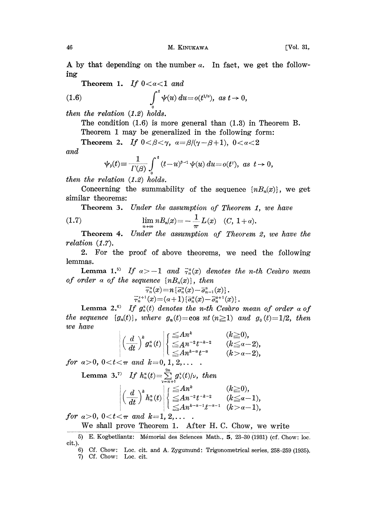Theorem 1. If 
$$
0 < a < 1
$$
 and  
(1.6) 
$$
\int^t \psi(u) du = o(t^{1/a}), \text{ as } t \to 0,
$$

then the relation  $(1.2)$  holds.

The condition (1.6) is more general than (1.3) in Theorem B. Theorem 1 may be generalized in the following form:

Theorem 2. If  $0 < \beta < \gamma$ ,  $\alpha = \beta/(\gamma - \beta + 1)$ ,  $0 < \alpha < 2$ and

$$
\psi_{\beta}(t) \equiv \frac{1}{\Gamma(\beta)} \int_{0}^{t} (t-u)^{\beta-1} \psi(u) du = o(t^{\tau}), \ \ as \ \ t \to 0,
$$

then the relation (1.2) holds.

Concerning the summability of the sequence  $\{nB_n(x)\}\,$ , we get similar theorems:

Theorem 3. Under the assumption of Theorem 1, we have

(1.7) 
$$
\lim_{n \to \infty} n B_n(x) = -\frac{1}{\pi} L(x) \quad (C, 1 + \alpha).
$$

Theorem 4. Under the assumption of Theorem 2, we have the relation (1.7).

2. For the proof of above theorems, we need the following lemmas.

**Lemma 1.**<sup>5)</sup> If  $a > -1$  and  $\bar{r}_n^a(x)$  denotes the n-th Cesaro mean of order a of the sequence  $\{nB_n(x)\}\$ , then

$$
\begin{array}{c}\scriptstyle \overline{\tau}^a_n(x)=n\left\{\overline{\sigma}^a_n(x)-\overline{\sigma}^a_{n-1}(x)\right\}.\\\scriptstyle \overline{\tau}^{\pi+1}_n(x)=\left(\alpha+1\right)\left\{\overline{\sigma}^a_n(x)-\overline{\sigma}^{a+1}_n(x)\right\}. \end{array}
$$

Lemma 2.<sup>6)</sup> If  $g_n^3(t)$  denotes the n-th Cesaro mean of order a of the sequence  $\{g_n(t)\}\$ , where  $g_n(t)=\cos nt\ (n\geq 1)$  and  $g_0(t)=1/2$ , then we have

$$
\left|\left(\frac{d}{dt}\right)^{k}g_{n}^{\alpha}(t)\right|\begin{cases} \leq A n^{k} & (k\geq 0),\\ \leq A n^{-2}t^{-k-2} & (k\leq a-2),\\ \leq A n^{k-\alpha}t^{-\alpha} & (k>a-2),\end{cases}
$$

for  $a>0$ ,  $0 < t < \pi$  and  $k=0, 1, 2, \ldots$ .

Lemma 3.<sup>7)</sup> If  $h_n^{\alpha}(t) = \sum_{n=1}^{\infty} g_{\nu}^{\alpha}(t)/\nu$ , then

$$
\left|\left(\frac{d}{dt}\right)^kh_n^a(t)\right|\begin{cases}\leq An^k&(k\geq 0),\\ \leq An^{-2}t^{-k-2}&(k\leq a-1),\\ \leq An^{k-a-1}t^{-a-1}&(k>a-1),\end{cases}
$$

for  $a > 0$ ,  $0 < t < \pi$  and  $k = 1, 2, \ldots$ .

We shall prove Theorem 1. After H.C. Chow, we write

<sup>5)</sup> E. Kogbetliantz: Mémorial des Sciences Math., 5, 23-30 (1931) (cf. Chow: loc. cit.).

<sup>6)</sup> Cf. Chow: Loc. cir. and A. Zygumund: Trigonometrical series, 258-259 (1935). 7) Cf. Chow: Loc. cir.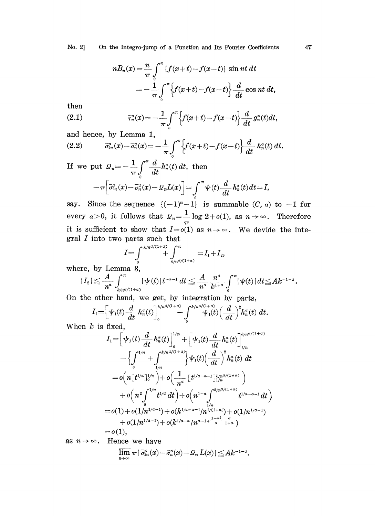No. 2] On the Integro-jump of a Function and Its Fourier Coefficients

$$
n B_n(x) = \frac{n}{\pi} \int_0^{\pi} \{f(x+t) - f(x-t)\} \sin nt \, dt
$$
  
= 
$$
-\frac{1}{\pi} \int_0^{\pi} \{f(x+t) - f(x-t)\} \frac{d}{dt} \cos nt \, dt,
$$

then

(2.1) 
$$
\bar{\tau}_n^{\alpha}(x) = -\frac{1}{\pi} \int_0^{\pi} \left\{ f(x+t) - f(x-t) \right\} \frac{d}{dt} g_n^{\alpha}(t) dt,
$$

and hence, by Lemma 1,

(2.2) 
$$
\overline{\sigma}_{2n}^{\alpha}(x) - \overline{\sigma}_{n}^{\alpha}(x) = -\frac{1}{\pi} \int_{0}^{\pi} \left\{ f(x+t) - f(x-t) \right\} \frac{d}{dt} h_n^{\alpha}(t) dt.
$$

If we put 
$$
\mathcal{Q}_n = -\frac{1}{\pi} \int_0^{\pi} \frac{d}{dt} h_n^{\alpha}(t) dt
$$
, then  

$$
-\pi \Big[ \bar{\sigma}_{2n}^{\alpha}(x) - \bar{\sigma}_n^{\alpha}(x) - \mathcal{Q}_n L(x) \Big] = \int_0^{\pi} \psi(t) \frac{d}{dt} h_n^{\alpha}(t) dt = I,
$$

say. Since the sequence  $\{(-1)^n-1\}$  is summable  $(C, \alpha)$  to  $-1$  for say. Since the sequence  $\{(-1)^n - 1\}$  is summable  $(C, \alpha)$  to  $-1$  for every  $\alpha > 0$ , it follows that  $\Omega_n = \frac{1}{\pi} \log 2 + o(1)$ , as  $n \to \infty$ . Therefore it is sufficient to show that  $I=o(1)$  as  $n\rightarrow\infty$ . We devide the integral I into two parts such that

$$
I=\int\limits_{0}^{k/n^{d/(1+d)}}\int\limits_{k/n^{d/(1+d)}}^{\pi}=I_1+I_2,
$$

where, by Lemma 3,

$$
|I_2|\leqq \frac{A}{n^\alpha}\int_{k/n^{d/(1+\alpha)}}^\pi |\psi(t)| t^{-\alpha-1}\,dt\leqq \frac{A}{n^\alpha}\frac{n^\alpha}{k^{1+\alpha}}\int\limits_0^\pi |\psi(t)|\,dt{\leqq} Ak^{-1-\alpha}.
$$

On the other hand, we get, by integration by parts,

$$
I_1 = \left[ \psi_1(t) \frac{d}{dt} h_n^a(t) \right]_0^{k/n^{a/(1+a)}} - \int_0^{k/n^{a/(1+a)}} \psi_1(t) \left( \frac{d}{dt} \right)^2 h_n^a(t) dt.
$$

When  $k$  is fixed,

$$
I_{1} = \left[ \psi_{1}(t) \frac{d}{dt} h_{n}^{a}(t) \right]_{0}^{1/n} + \left[ \psi_{1}(t) \frac{d}{dt} h_{n}^{a}(t) \right]_{1/n}^{k/n^{d/(1+a)}} - \left\{ \int_{0}^{1/n} + \int_{1/n}^{k/n^{d/(1+a)}} \right\} \psi_{1}(t) \left( \frac{d}{dt} \right)^{2} h_{n}^{a}(t) dt = o\left( n \left[ t^{1/a} \right]_{0}^{1/n} \right) + o\left( \frac{1}{n^{a}} \left[ t^{1/a - a - 1} \right]_{1/n}^{k/n^{d/(1+a)}} \right) + o\left( n^{2} \int_{0}^{1/n} t^{1/a} dt \right) + o\left( n^{1-a} \int_{1/n}^{k/n^{d/(1+a)}} t^{1/a - a - 1} dt \right) = o(1) + o(1/n^{1/a - 1}) + o(k^{1/a - a - 1}/n^{1/(1+a)}) + o(1/n^{1/a - 1}) + o(1/n^{1/a - 1}) + o(k^{1/a - a}/n^{a - 1 + \frac{1-a^{2}}{a} - \frac{a}{1+a}})
$$
  
= o(1),

as  $n \rightarrow \infty$ . Hence we have

$$
\varlimsup_{n\to\infty}\pi\,|\,\bar\sigma_{\scriptscriptstyle 2n}^{\scriptscriptstyle\alpha}(x)-\bar\sigma_{\scriptscriptstyle n}^{\scriptscriptstyle\alpha}(x)-\mathcal{Q}_n\,L(x)\,|\leq\!Ak^{-1-a}.
$$